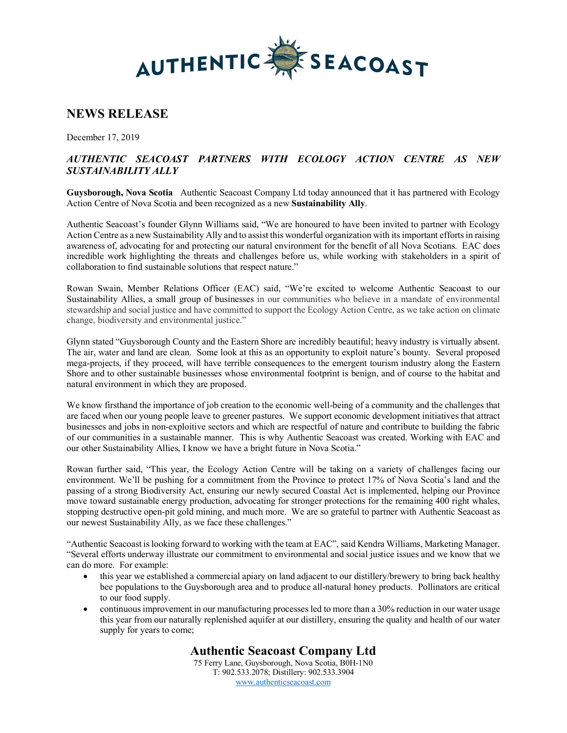

# **NEWS RELEASE**

December 17, 2019

### *AUTHENTIC SEACOAST PARTNERS WITH ECOLOGY ACTION CENTRE AS NEW SUSTAINABILITY ALLY*

**Guysborough, Nova Scotia** Authentic Seacoast Company Ltd today announced that it has partnered with Ecology Action Centre of Nova Scotia and been recognized as a new **Sustainability Ally**.

Authentic Seacoast's founder Glynn Williams said, "We are honoured to have been invited to partner with Ecology Action Centre as a new Sustainability Ally and to assist this wonderful organization with its important efforts in raising awareness of, advocating for and protecting our natural environment for the benefit of all Nova Scotians. EAC does incredible work highlighting the threats and challenges before us, while working with stakeholders in a spirit of collaboration to find sustainable solutions that respect nature."

Rowan Swain, Member Relations Officer (EAC) said, "We're excited to welcome Authentic Seacoast to our Sustainability Allies, a small group of businesses in our communities who believe in a mandate of environmental stewardship and social justice and have committed to support the Ecology Action Centre, as we take action on climate change, biodiversity and environmental justice."

Glynn stated "Guysborough County and the Eastern Shore are incredibly beautiful; heavy industry is virtually absent. The air, water and land are clean. Some look at this as an opportunity to exploit nature's bounty. Several proposed mega-projects, if they proceed, will have terrible consequences to the emergent tourism industry along the Eastern Shore and to other sustainable businesses whose environmental footprint is benign, and of course to the habitat and natural environment in which they are proposed.

We know firsthand the importance of job creation to the economic well-being of a community and the challenges that are faced when our young people leave to greener pastures. We support economic development initiatives that attract businesses and jobs in non-exploitive sectors and which are respectful of nature and contribute to building the fabric of our communities in a sustainable manner. This is why Authentic Seacoast was created. Working with EAC and our other Sustainability Allies, I know we have a bright future in Nova Scotia."

Rowan further said, "This year, the Ecology Action Centre will be taking on a variety of challenges facing our environment. We'll be pushing for a commitment from the Province to protect 17% of Nova Scotia's land and the passing of a strong Biodiversity Act, ensuring our newly secured Coastal Act is implemented, helping our Province move toward sustainable energy production, advocating for stronger protections for the remaining 400 right whales, stopping destructive open-pit gold mining, and much more. We are so grateful to partner with Authentic Seacoast as our newest Sustainability Ally, as we face these challenges."

"Authentic Seacoast is looking forward to working with the team at EAC", said Kendra Williams, Marketing Manager. "Several efforts underway illustrate our commitment to environmental and social justice issues and we know that we can do more. For example:

- this year we established a commercial apiary on land adjacent to our distillery/brewery to bring back healthy bee populations to the Guysborough area and to produce all-natural honey products. Pollinators are critical to our food supply.
- continuous improvement in our manufacturing processes led to more than a 30% reduction in our water usage this year from our naturally replenished aquifer at our distillery, ensuring the quality and health of our water supply for years to come;

## **Authentic Seacoast Company Ltd**

75 Ferry Lane, Guysborough, Nova Scotia, B0H-1N0 T: 902.533.2078; Distillery: 902.533.3904 www.authenticseacoast.com